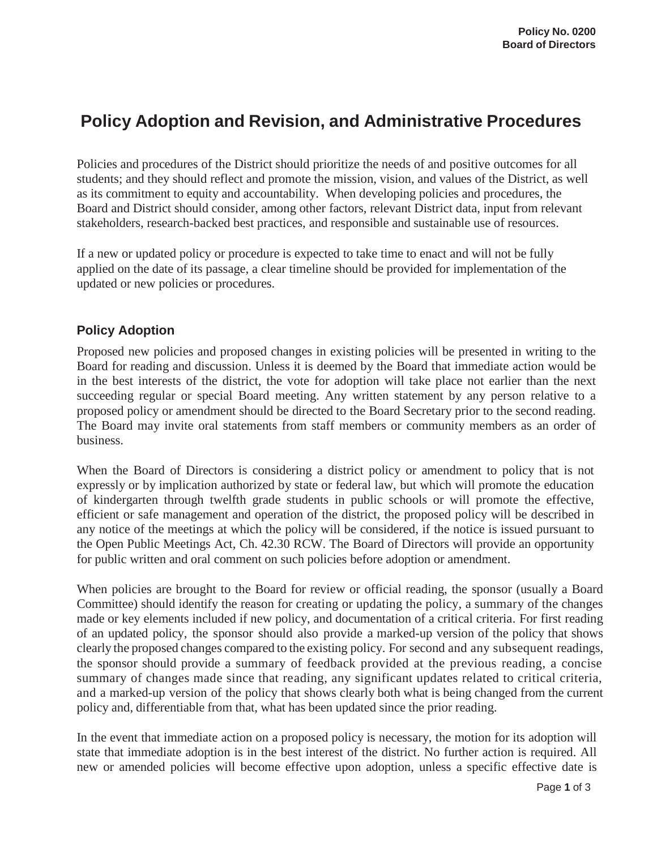# **Policy Adoption and Revision, and Administrative Procedures**

Policies and procedures of the District should prioritize the needs of and positive outcomes for all students; and they should reflect and promote the mission, vision, and values of the District, as well as its commitment to equity and accountability. When developing policies and procedures, the Board and District should consider, among other factors, relevant District data, input from relevant stakeholders, research-backed best practices, and responsible and sustainable use of resources.

If a new or updated policy or procedure is expected to take time to enact and will not be fully applied on the date of its passage, a clear timeline should be provided for implementation of the updated or new policies or procedures.

#### **Policy Adoption**

Proposed new policies and proposed changes in existing policies will be presented in writing to the Board for reading and discussion. Unless it is deemed by the Board that immediate action would be in the best interests of the district, the vote for adoption will take place not earlier than the next succeeding regular or special Board meeting. Any written statement by any person relative to a proposed policy or amendment should be directed to the Board Secretary prior to the second reading. The Board may invite oral statements from staff members or community members as an order of business.

When the Board of Directors is considering a district policy or amendment to policy that is not expressly or by implication authorized by state or federal law, but which will promote the education of kindergarten through twelfth grade students in public schools or will promote the effective, efficient or safe management and operation of the district, the proposed policy will be described in any notice of the meetings at which the policy will be considered, if the notice is issued pursuant to the Open Public Meetings Act, Ch. 42.30 RCW. The Board of Directors will provide an opportunity for public written and oral comment on such policies before adoption or amendment.

When policies are brought to the Board for review or official reading, the sponsor (usually a Board Committee) should identify the reason for creating or updating the policy, a summary of the changes made or key elements included if new policy, and documentation of a critical criteria. For first reading of an updated policy, the sponsor should also provide a marked-up version of the policy that shows clearly the proposed changes compared to the existing policy. For second and any subsequent readings, the sponsor should provide a summary of feedback provided at the previous reading, a concise summary of changes made since that reading, any significant updates related to critical criteria, and a marked-up version of the policy that shows clearly both what is being changed from the current policy and, differentiable from that, what has been updated since the prior reading.

In the event that immediate action on a proposed policy is necessary, the motion for its adoption will state that immediate adoption is in the best interest of the district. No further action is required. All new or amended policies will become effective upon adoption, unless a specific effective date is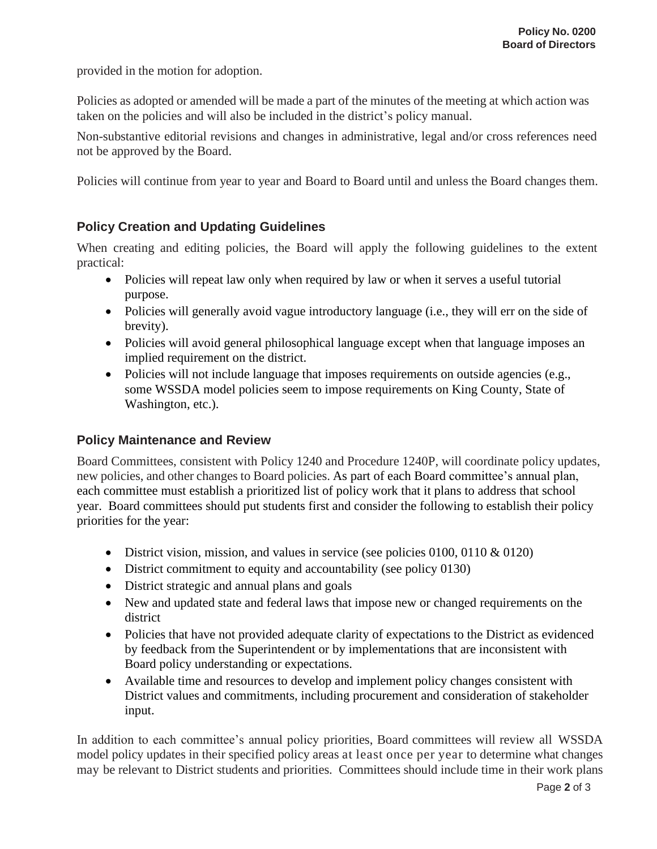provided in the motion for adoption.

Policies as adopted or amended will be made a part of the minutes of the meeting at which action was taken on the policies and will also be included in the district's policy manual.

Non-substantive editorial revisions and changes in administrative, legal and/or cross references need not be approved by the Board.

Policies will continue from year to year and Board to Board until and unless the Board changes them.

### **Policy Creation and Updating Guidelines**

When creating and editing policies, the Board will apply the following guidelines to the extent practical:

- Policies will repeat law only when required by law or when it serves a useful tutorial purpose.
- Policies will generally avoid vague introductory language (i.e., they will err on the side of brevity).
- Policies will avoid general philosophical language except when that language imposes an implied requirement on the district.
- Policies will not include language that imposes requirements on outside agencies (e.g., some WSSDA model policies seem to impose requirements on King County, State of Washington, etc.).

#### **Policy Maintenance and Review**

Board Committees, consistent with Policy 1240 and Procedure 1240P, will coordinate policy updates, new policies, and other changes to Board policies. As part of each Board committee's annual plan, each committee must establish a prioritized list of policy work that it plans to address that school year. Board committees should put students first and consider the following to establish their policy priorities for the year:

- District vision, mission, and values in service (see policies 0100, 0110  $\&$  0120)
- District commitment to equity and accountability (see policy 0130)
- District strategic and annual plans and goals
- New and updated state and federal laws that impose new or changed requirements on the district
- Policies that have not provided adequate clarity of expectations to the District as evidenced by feedback from the Superintendent or by implementations that are inconsistent with Board policy understanding or expectations.
- Available time and resources to develop and implement policy changes consistent with District values and commitments, including procurement and consideration of stakeholder input.

In addition to each committee's annual policy priorities, Board committees will review all WSSDA model policy updates in their specified policy areas at least once per year to determine what changes may be relevant to District students and priorities. Committees should include time in their work plans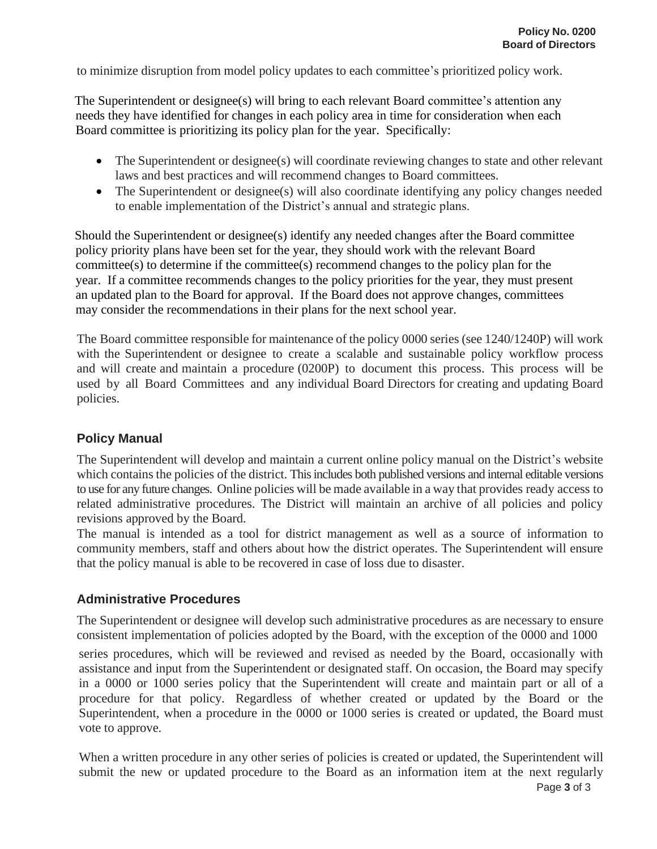to minimize disruption from model policy updates to each committee's prioritized policy work.

The Superintendent or designee(s) will bring to each relevant Board committee's attention any needs they have identified for changes in each policy area in time for consideration when each Board committee is prioritizing its policy plan for the year. Specifically:

- The Superintendent or designee(s) will coordinate reviewing changes to state and other relevant laws and best practices and will recommend changes to Board committees.
- The Superintendent or designee(s) will also coordinate identifying any policy changes needed to enable implementation of the District's annual and strategic plans.

Should the Superintendent or designee(s) identify any needed changes after the Board committee policy priority plans have been set for the year, they should work with the relevant Board committee(s) to determine if the committee(s) recommend changes to the policy plan for the year. If a committee recommends changes to the policy priorities for the year, they must present an updated plan to the Board for approval. If the Board does not approve changes, committees may consider the recommendations in their plans for the next school year.

The Board committee responsible for maintenance of the policy 0000 series (see 1240/1240P) will work with the Superintendent or designee to create a scalable and sustainable policy workflow process and will create and maintain a procedure (0200P) to document this process. This process will be used by all Board Committees and any individual Board Directors for creating and updating Board policies.

## **Policy Manual**

The Superintendent will develop and maintain a current online policy manual on the District's website which contains the policies of the district. This includes both published versions and internal editable versions to use for any future changes. Online policies will be made available in a way that provides ready access to related administrative procedures. The District will maintain an archive of all policies and policy revisions approved by the Board.

The manual is intended as a tool for district management as well as a source of information to community members, staff and others about how the district operates. The Superintendent will ensure that the policy manual is able to be recovered in case of loss due to disaster.

#### **Administrative Procedures**

The Superintendent or designee will develop such administrative procedures as are necessary to ensure consistent implementation of policies adopted by the Board, with the exception of the 0000 and 1000

series procedures, which will be reviewed and revised as needed by the Board, occasionally with assistance and input from the Superintendent or designated staff. On occasion, the Board may specify in a 0000 or 1000 series policy that the Superintendent will create and maintain part or all of a procedure for that policy. Regardless of whether created or updated by the Board or the Superintendent, when a procedure in the 0000 or 1000 series is created or updated, the Board must vote to approve.

When a written procedure in any other series of policies is created or updated, the Superintendent will submit the new or updated procedure to the Board as an information item at the next regularly